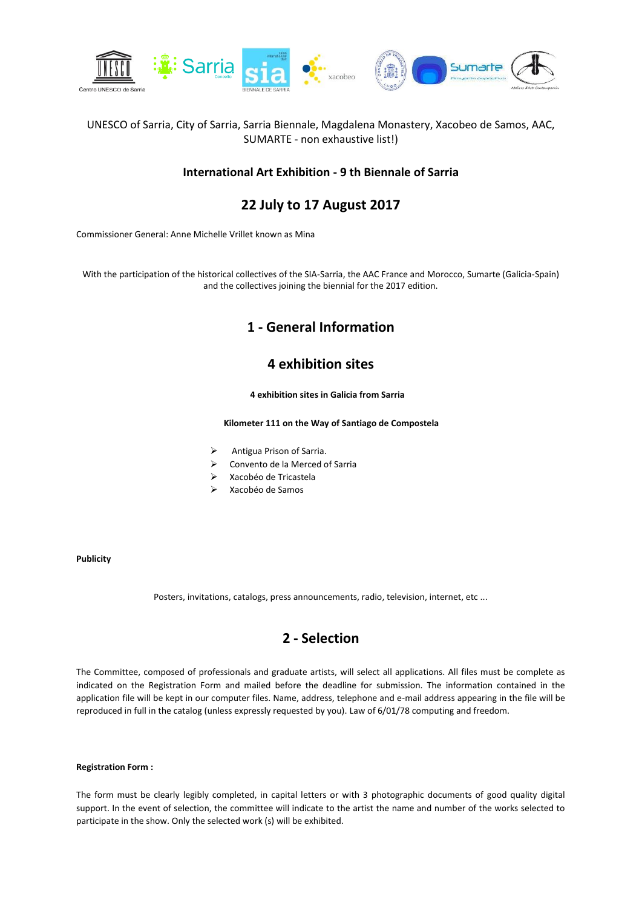

### UNESCO of Sarria, City of Sarria, Sarria Biennale, Magdalena Monastery, Xacobeo de Samos, AAC, SUMARTE - non exhaustive list!)

### **International Art Exhibition - 9 th Biennale of Sarria**

# **22 July to 17 August 2017**

Commissioner General: Anne Michelle Vrillet known as Mina

With the participation of the historical collectives of the SIA-Sarria, the AAC France and Morocco, Sumarte (Galicia-Spain) and the collectives joining the biennial for the 2017 edition.

### **1 - General Information**

# **4 exhibition sites**

### **4 exhibition sites in Galicia from Sarria**

#### **Kilometer 111 on the Way of Santiago de Compostela**

- Antigua Prison of Sarria.
- Convento de la Merced of Sarria
- Xacobéo de Tricastela
- Xacobéo de Samos

#### **Publicity**

Posters, invitations, catalogs, press announcements, radio, television, internet, etc ...

# **2 - Selection**

The Committee, composed of professionals and graduate artists, will select all applications. All files must be complete as indicated on the Registration Form and mailed before the deadline for submission. The information contained in the application file will be kept in our computer files. Name, address, telephone and e-mail address appearing in the file will be reproduced in full in the catalog (unless expressly requested by you). Law of 6/01/78 computing and freedom.

#### **Registration Form :**

The form must be clearly legibly completed, in capital letters or with 3 photographic documents of good quality digital support. In the event of selection, the committee will indicate to the artist the name and number of the works selected to participate in the show. Only the selected work (s) will be exhibited.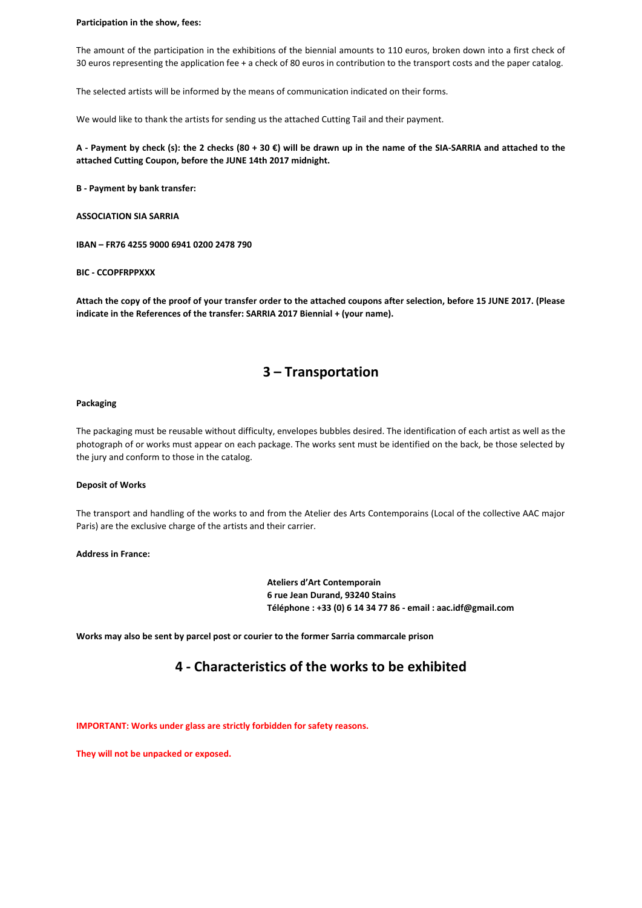#### **Participation in the show, fees:**

The amount of the participation in the exhibitions of the biennial amounts to 110 euros, broken down into a first check of 30 euros representing the application fee + a check of 80 euros in contribution to the transport costs and the paper catalog.

The selected artists will be informed by the means of communication indicated on their forms.

We would like to thank the artists for sending us the attached Cutting Tail and their payment.

**A - Payment by check (s): the 2 checks (80 + 30 €) will be drawn up in the name of the SIA-SARRIA and attached to the attached Cutting Coupon, before the JUNE 14th 2017 midnight.**

**B - Payment by bank transfer:**

**ASSOCIATION SIA SARRIA**

**IBAN – FR76 4255 9000 6941 0200 2478 790** 

**BIC - CCOPFRPPXXX**

**Attach the copy of the proof of your transfer order to the attached coupons after selection, before 15 JUNE 2017. (Please indicate in the References of the transfer: SARRIA 2017 Biennial + (your name).**

### **3 – Transportation**

#### **Packaging**

The packaging must be reusable without difficulty, envelopes bubbles desired. The identification of each artist as well as the photograph of or works must appear on each package. The works sent must be identified on the back, be those selected by the jury and conform to those in the catalog.

#### **Deposit of Works**

The transport and handling of the works to and from the Atelier des Arts Contemporains (Local of the collective AAC major Paris) are the exclusive charge of the artists and their carrier.

**Address in France:**

**Ateliers d'Art Contemporain 6 rue Jean Durand, 93240 Stains Téléphone : +33 (0) 6 14 34 77 86 - email : aac.idf@gmail.com**

**Works may also be sent by parcel post or courier to the former Sarria commarcale prison**

### **4 - Characteristics of the works to be exhibited**

**IMPORTANT: Works under glass are strictly forbidden for safety reasons.**

**They will not be unpacked or exposed.**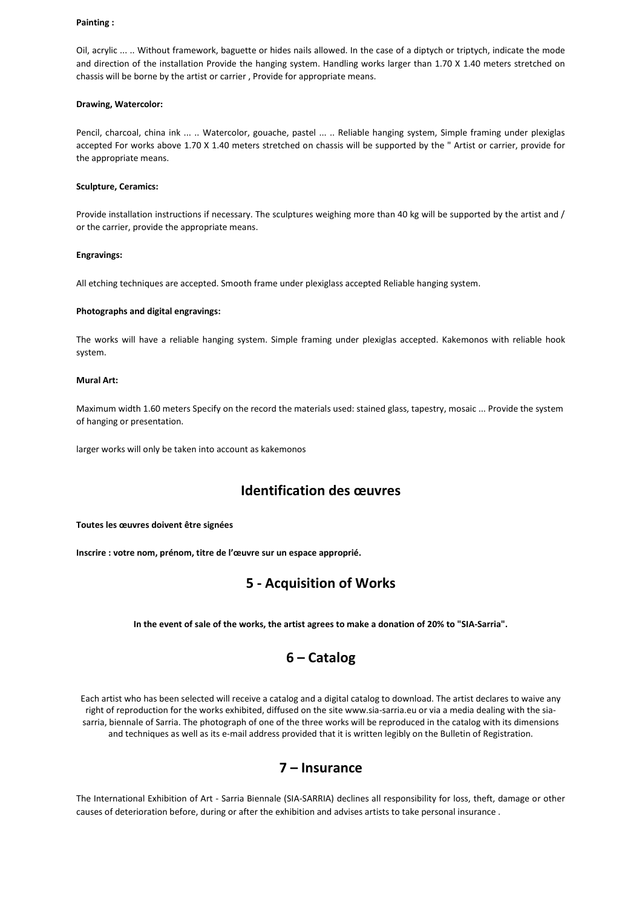#### **Painting :**

Oil, acrylic ... .. Without framework, baguette or hides nails allowed. In the case of a diptych or triptych, indicate the mode and direction of the installation Provide the hanging system. Handling works larger than 1.70 X 1.40 meters stretched on chassis will be borne by the artist or carrier , Provide for appropriate means.

#### **Drawing, Watercolor:**

Pencil, charcoal, china ink ... .. Watercolor, gouache, pastel ... .. Reliable hanging system, Simple framing under plexiglas accepted For works above 1.70 X 1.40 meters stretched on chassis will be supported by the " Artist or carrier, provide for the appropriate means.

#### **Sculpture, Ceramics:**

Provide installation instructions if necessary. The sculptures weighing more than 40 kg will be supported by the artist and / or the carrier, provide the appropriate means.

#### **Engravings:**

All etching techniques are accepted. Smooth frame under plexiglass accepted Reliable hanging system.

#### **Photographs and digital engravings:**

The works will have a reliable hanging system. Simple framing under plexiglas accepted. Kakemonos with reliable hook system.

#### **Mural Art:**

Maximum width 1.60 meters Specify on the record the materials used: stained glass, tapestry, mosaic ... Provide the system of hanging or presentation.

larger works will only be taken into account as kakemonos

### **Identification des œuvres**

**Toutes les œuvres doivent être signées**

**Inscrire : votre nom, prénom, titre de l'œuvre sur un espace approprié.**

### **5 - Acquisition of Works**

**In the event of sale of the works, the artist agrees to make a donation of 20% to "SIA-Sarria".**

### **6 – Catalog**

Each artist who has been selected will receive a catalog and a digital catalog to download. The artist declares to waive any right of reproduction for the works exhibited, diffused on the site www.sia-sarria.eu or via a media dealing with the siasarria, biennale of Sarria. The photograph of one of the three works will be reproduced in the catalog with its dimensions and techniques as well as its e-mail address provided that it is written legibly on the Bulletin of Registration.

### **7 – Insurance**

The International Exhibition of Art - Sarria Biennale (SIA-SARRIA) declines all responsibility for loss, theft, damage or other causes of deterioration before, during or after the exhibition and advises artists to take personal insurance .